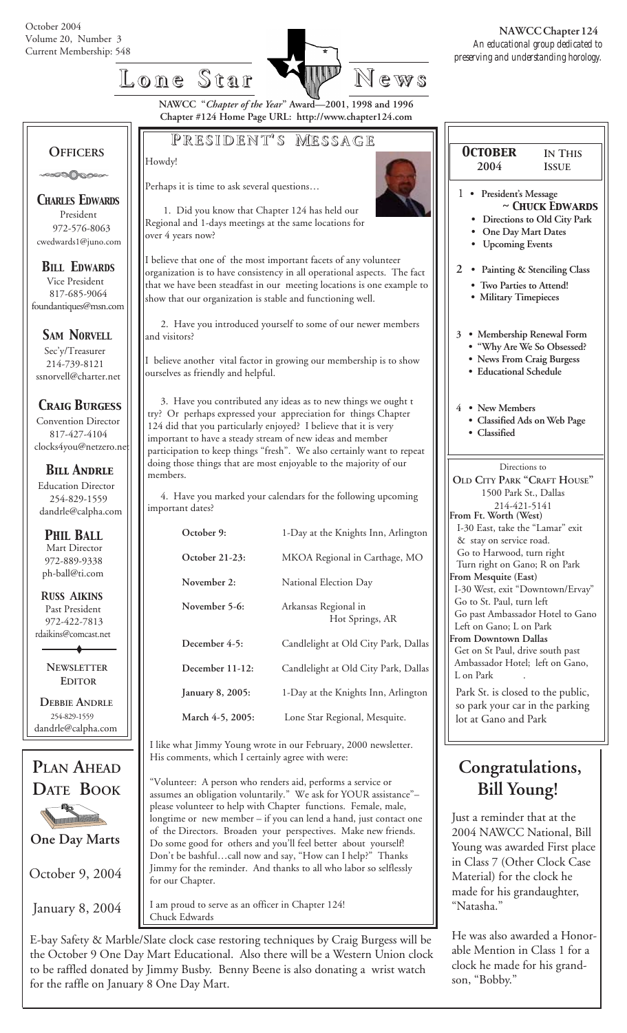

Howdy!

**NAWCC "***Chapter of the Year***" Award—2001, 1998 and 1996 Chapter #124 Home Page URL: http://www.chapter124.com**

**P RESIDENT RESIDENT' S M ESSAGE**

## **OFFICERS**

**SOOOOOO** 

*CHARLES EDWARDS* President 972-576-8063 cwedwards1@juno.com

*BILL EDWARDS* Vice President 817-685-9064 foundantiques@msn.com

**SAM NORVELL** 

 Sec'y/Treasurer 214-739-8121 ssnorvell@charter.net

*Craig Burgess*

 Convention Director 817-427-4104 clocks4you@netzero.ne

 *Bill Andrle* Education Director 254-829-1559 dandrle@calpha.com

 Mart Director 972-889-9338 ph-ball@ti.com *PHIL BALL*

 **R***USS* **A***IKINS* Past President 972-422-7813 rdaikins@comcast.net

> **NEWSLETTER EDITOR**

 **DEBBIE ANDRLE** 254-829-1559 dandrle@calpha.com



October 9, 2004

January 8, 2004

Perhaps it is time to ask several questions… 1. Did you know that Chapter 124 has held our Regional and 1-days meetings at the same locations for over 4 years now?

I believe that one of the most important facets of any volunteer organization is to have consistency in all operational aspects. The fact that we have been steadfast in our meeting locations is one example to show that our organization is stable and functioning well.

 2. Have you introduced yourself to some of our newer members and visitors?

I believe another vital factor in growing our membership is to show ourselves as friendly and helpful.

 3. Have you contributed any ideas as to new things we ought t try? Or perhaps expressed your appreciation for things Chapter 124 did that you particularly enjoyed? I believe that it is very important to have a steady stream of new ideas and member participation to keep things "fresh". We also certainly want to repeat doing those things that are most enjoyable to the majority of our members.

 4. Have you marked your calendars for the following upcoming important dates?

| October 9:       | 1-Day at the Knights Inn, Arlington     |
|------------------|-----------------------------------------|
| October 21-23:   | MKOA Regional in Carthage, MO           |
| November 2:      | National Election Day                   |
| November 5-6:    | Arkansas Regional in<br>Hot Springs, AR |
| December 4-5:    | Candlelight at Old City Park, Dallas    |
| December 11-12:  | Candlelight at Old City Park, Dallas    |
| January 8, 2005: | 1-Day at the Knights Inn, Arlington     |
| March 4-5, 2005: | Lone Star Regional, Mesquite.           |

I like what Jimmy Young wrote in our February, 2000 newsletter. His comments, which I certainly agree with were:

"Volunteer: A person who renders aid, performs a service or assumes an obligation voluntarily." We ask for YOUR assistance"– please volunteer to help with Chapter functions. Female, male, longtime or new member – if you can lend a hand, just contact one of the Directors. Broaden your perspectives. Make new friends. Do some good for others and you'll feel better about yourself! Don't be bashful…call now and say, "How can I help?" Thanks Jimmy for the reminder. And thanks to all who labor so selflessly for our Chapter.

I am proud to serve as an officer in Chapter 124! Chuck Edwards

E-bay Safety & Marble/Slate clock case restoring techniques by Craig Burgess will be the October 9 One Day Mart Educational. Also there will be a Western Union clock to be raffled donated by Jimmy Busby. Benny Beene is also donating a wrist watch for the raffle on January 8 One Day Mart.

| <b>OCTOBER</b><br>2004                                                   | <b>IN THIS</b><br><b>ISSUE</b>                                                                                                                                                                              |  |  |  |
|--------------------------------------------------------------------------|-------------------------------------------------------------------------------------------------------------------------------------------------------------------------------------------------------------|--|--|--|
| 1.<br>٠<br>$\overline{2}$                                                | President's Message<br>~ CHUCK EDWARDS<br>Directions to Old City Park<br>One Day Mart Dates<br><b>Upcoming Events</b><br>• Painting & Stenciling Class<br>· Two Parties to Attend!<br>• Military Timepieces |  |  |  |
| 3                                                                        | · Membership Renewal Form<br>"Why Are We So Obsessed?<br><b>News From Craig Burgess</b><br><b>Educational Schedule</b>                                                                                      |  |  |  |
| • New Members<br>4<br>Classified                                         | · Classified Ads on Web Page                                                                                                                                                                                |  |  |  |
| Directions to<br>OLD CITY PARK "CRAFT HOUSE"<br>1500 Park St., Dallas    |                                                                                                                                                                                                             |  |  |  |
| From Ft. Worth (West)<br>& stay on service road.<br>From Mesquite (East) | 214-421-5141<br>I-30 East, take the "Lamar" exit<br>Go to Harwood, turn right<br>Turn right on Gano; R on Park                                                                                              |  |  |  |

### I-30 West, exit "Downtown/Ervay" Go to St. Paul, turn left Go past Ambassador Hotel to Gano Left on Gano; L on Park **From Downtown Dallas** Get on St Paul, drive south past Ambassador Hotel; left on Gano,

L on Park Park St. is closed to the public, so park your car in the parking lot at Gano and Park

## **Congratulations, Bill Young!**

Just a reminder that at the 2004 NAWCC National, Bill Young was awarded First place in Class 7 (Other Clock Case Material) for the clock he made for his grandaughter, "Natasha."

He was also awarded a Honorable Mention in Class 1 for a clock he made for his grandson, "Bobby."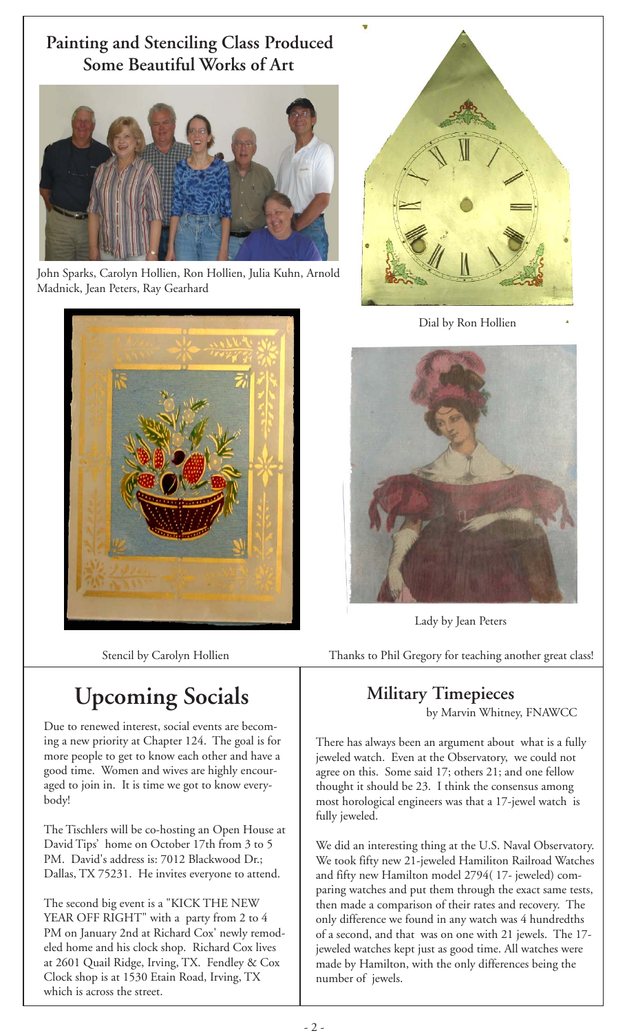## **Painting and Stenciling Class Produced Some Beautiful Works of Art**



John Sparks, Carolyn Hollien, Ron Hollien, Julia Kuhn, Arnold Madnick, Jean Peters, Ray Gearhard





Dial by Ron Hollien



Lady by Jean Peters

Stencil by Carolyn Hollien Thanks to Phil Gregory for teaching another great class!

# **Upcoming Socials** Military Timepieces

Due to renewed interest, social events are becoming a new priority at Chapter 124. The goal is for more people to get to know each other and have a good time. Women and wives are highly encouraged to join in. It is time we got to know everybody!

The Tischlers will be co-hosting an Open House at David Tips' home on October 17th from 3 to 5 PM. David's address is: 7012 Blackwood Dr.; Dallas, TX 75231. He invites everyone to attend.

The second big event is a "KICK THE NEW YEAR OFF RIGHT" with a party from 2 to 4 PM on January 2nd at Richard Cox' newly remodeled home and his clock shop. Richard Cox lives at 2601 Quail Ridge, Irving, TX. Fendley & Cox Clock shop is at 1530 Etain Road, Irving, TX which is across the street.

by Marvin Whitney, FNAWCC

There has always been an argument about what is a fully jeweled watch. Even at the Observatory, we could not agree on this. Some said 17; others 21; and one fellow thought it should be 23. I think the consensus among most horological engineers was that a 17-jewel watch is fully jeweled.

We did an interesting thing at the U.S. Naval Observatory. We took fifty new 21-jeweled Hamiliton Railroad Watches and fifty new Hamilton model 2794( 17- jeweled) comparing watches and put them through the exact same tests, then made a comparison of their rates and recovery. The only difference we found in any watch was 4 hundredths of a second, and that was on one with 21 jewels. The 17 jeweled watches kept just as good time. All watches were made by Hamilton, with the only differences being the number of jewels.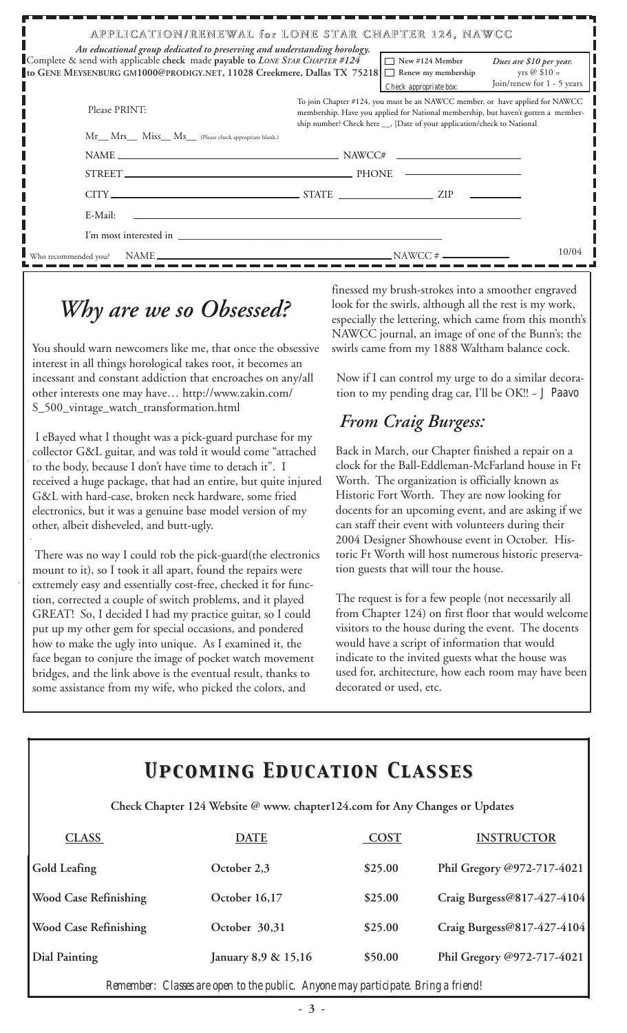| APPLICATION/RENEWAL for LONE STAR CHAPTER 124, NAWCC<br>An educational group dedicated to preserving and understanding horology.                                                |                                                                                                                                                                                                                                               |                                                  |                                                                               |  |  |  |  |  |
|---------------------------------------------------------------------------------------------------------------------------------------------------------------------------------|-----------------------------------------------------------------------------------------------------------------------------------------------------------------------------------------------------------------------------------------------|--------------------------------------------------|-------------------------------------------------------------------------------|--|--|--|--|--|
| Complete & send with applicable check made payable to LONE STAR CHAPTER #124<br>to GENE MEYSENBURG GM1000@PRODIGY.NET, 11028 Creekmere, Dallas TX 75218   □ Renew my membership |                                                                                                                                                                                                                                               | $\Box$ New #124 Member<br>Check appropriate box: | Dues are \$10 per year.<br>yrs $\oslash$ \$10 =<br>Join/renew for 1 - 5 years |  |  |  |  |  |
| Please PRINT:                                                                                                                                                                   | To join Chapter #124, you must be an NAWCC member, or have applied for NAWCC<br>membership. Have you applied for National membership, but haven't gotten a member-<br>ship number? Check here __, [Date of your application/check to National |                                                  |                                                                               |  |  |  |  |  |
| Mr__ Mrs__ Miss__ Ms__ (Please check appropriate blank.)                                                                                                                        |                                                                                                                                                                                                                                               |                                                  |                                                                               |  |  |  |  |  |
|                                                                                                                                                                                 |                                                                                                                                                                                                                                               |                                                  |                                                                               |  |  |  |  |  |
|                                                                                                                                                                                 |                                                                                                                                                                                                                                               |                                                  |                                                                               |  |  |  |  |  |
|                                                                                                                                                                                 |                                                                                                                                                                                                                                               |                                                  |                                                                               |  |  |  |  |  |
| E-Mail:<br><u> 1989 - John Stein, Amerikaansk politiker (</u> † 1920)                                                                                                           |                                                                                                                                                                                                                                               |                                                  |                                                                               |  |  |  |  |  |
| I'm most interested in                                                                                                                                                          |                                                                                                                                                                                                                                               |                                                  |                                                                               |  |  |  |  |  |
|                                                                                                                                                                                 |                                                                                                                                                                                                                                               |                                                  | 10/04                                                                         |  |  |  |  |  |

# *Why are we so Obsessed?*

You should warn newcomers like me, that once the obsessive interest in all things horological takes root, it becomes an incessant and constant addiction that encroaches on any/all other interests one may have… http://www.zakin.com/ S\_500\_vintage\_watch\_transformation.html

 I eBayed what I thought was a pick-guard purchase for my collector G&L guitar, and was told it would come "attached to the body, because I don't have time to detach it". I received a huge package, that had an entire, but quite injured G&L with hard-case, broken neck hardware, some fried electronics, but it was a genuine base model version of my other, albeit disheveled, and butt-ugly.

There was no way I could rob the pick-guard(the electronics mount to it), so I took it all apart, found the repairs were extremely easy and essentially cost-free, checked it for function, corrected a couple of switch problems, and it played GREAT! So, I decided I had my practice guitar, so I could put up my other gem for special occasions, and pondered how to make the ugly into unique. As I examined it, the face began to conjure the image of pocket watch movement bridges, and the link above is the eventual result, thanks to some assistance from my wife, who picked the colors, and

finessed my brush-strokes into a smoother engraved look for the swirls, although all the rest is my work, especially the lettering, which came from this month's NAWCC journal, an image of one of the Bunn's; the swirls came from my 1888 Waltham balance cock.

Now if I can control my urge to do a similar decoration to my pending drag car, I'll be OK!! ~ *J Paavo*

## *From Craig Burgess:*

Back in March, our Chapter finished a repair on a clock for the Ball-Eddleman-McFarland house in Ft Worth. The organization is officially known as Historic Fort Worth. They are now looking for docents for an upcoming event, and are asking if we can staff their event with volunteers during their 2004 Designer Showhouse event in October. Historic Ft Worth will host numerous historic preservation guests that will tour the house.

The request is for a few people (not necessarily all from Chapter 124) on first floor that would welcome visitors to the house during the event. The docents would have a script of information that would indicate to the invited guests what the house was used for, architecture, how each room may have been decorated or used, etc.

# *Upcoming Education Classes Upcoming Education Classes*

 **Check Chapter 124 Website @ www. chapter124.com for Any Changes or Updates**

| <b>CLASS</b>                 | <b>DATE</b>         | COST    | <b>INSTRUCTOR</b>          |
|------------------------------|---------------------|---------|----------------------------|
| Gold Leafing                 | October 2,3         | \$25.00 | Phil Gregory @972-717-4021 |
| <b>Wood Case Refinishing</b> | October 16,17       | \$25.00 | Craig Burgess@817-427-4104 |
| <b>Wood Case Refinishing</b> | October 30,31       | \$25.00 | Craig Burgess@817-427-4104 |
| Dial Painting                | January 8,9 & 15,16 | \$50.00 | Phil Gregory @972-717-4021 |
|                              |                     |         |                            |

*Remember: Classes are open to the public. Anyone may participate. Bring a friend!*